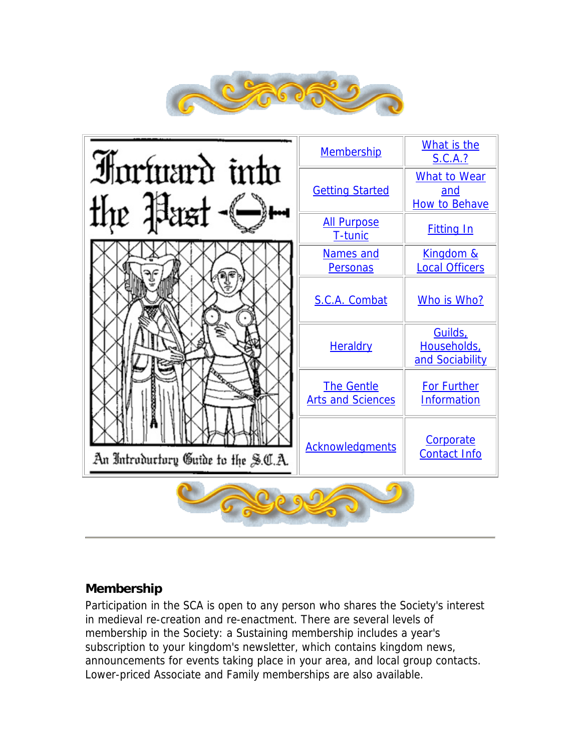

<span id="page-0-0"></span>

### **Membership**

Participation in the SCA is open to any person who shares the Society's interest in medieval re-creation and re-enactment. There are several levels of membership in the Society: a Sustaining membership includes a year's subscription to your kingdom's newsletter, which contains kingdom news, announcements for events taking place in your area, and local group contacts. Lower-priced Associate and Family memberships are also available.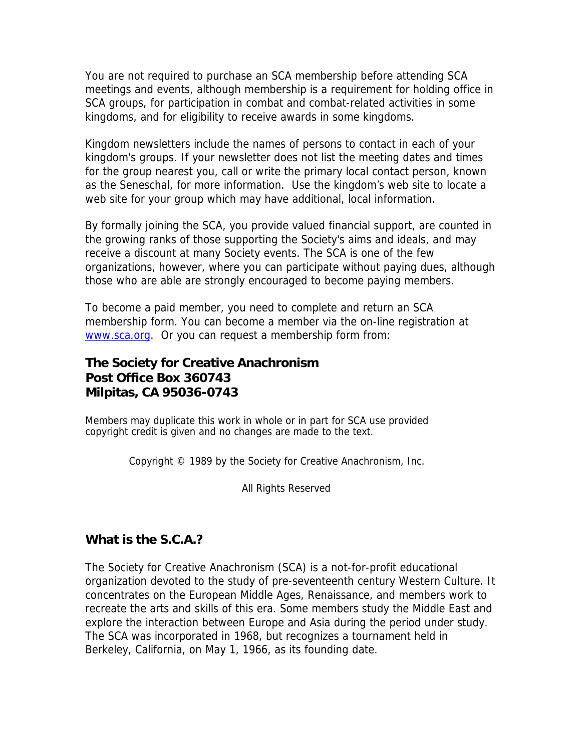<span id="page-1-0"></span>You are not required to purchase an SCA membership before attending SCA meetings and events, although membership is a requirement for holding office in SCA groups, for participation in combat and combat-related activities in some kingdoms, and for eligibility to receive awards in some kingdoms.

Kingdom newsletters include the names of persons to contact in each of your kingdom's groups. If your newsletter does not list the meeting dates and times for the group nearest you, call or write the primary local contact person, known as the Seneschal, for more information. Use the kingdom's web site to locate a web site for your group which may have additional, local information.

By formally joining the SCA, you provide valued financial support, are counted in the growing ranks of those supporting the Society's aims and ideals, and may receive a discount at many Society events. The SCA is one of the few organizations, however, where you can participate without paying dues, although those who are able are strongly encouraged to become paying members.

To become a paid member, you need to complete and return an SCA membership form. You can become a member via the on-line registration at [www.sca.org.](https://membership.sca.org/) Or you can request a membership form from:

## **The Society for Creative Anachronism Post Office Box 360743 Milpitas, CA 95036-0743**

Members may duplicate this work in whole or in part for SCA use provided copyright credit is given and no changes are made to the text.

Copyright © 1989 by the Society for Creative Anachronism, Inc.

All Rights Reserved

### **What is the S.C.A.?**

The Society for Creative Anachronism (SCA) is a not-for-profit educational organization devoted to the study of pre-seventeenth century Western Culture. It concentrates on the European Middle Ages, Renaissance, and members work to recreate the arts and skills of this era. Some members study the Middle East and explore the interaction between Europe and Asia during the period under study. The SCA was incorporated in 1968, but recognizes a tournament held in Berkeley, California, on May 1, 1966, as its founding date.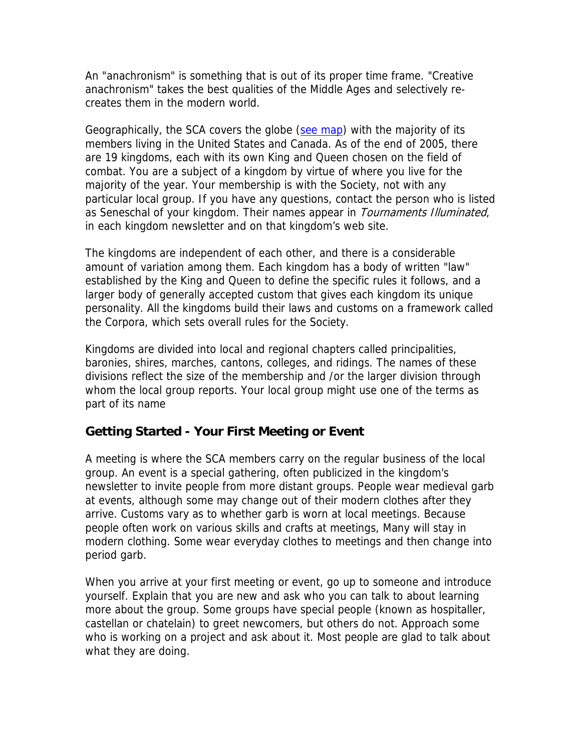<span id="page-2-0"></span>An "anachronism" is something that is out of its proper time frame. "Creative anachronism" takes the best qualities of the Middle Ages and selectively recreates them in the modern world.

Geographically, the SCA covers the globe ([see map](http://misfit-robots.com/sca/map/index.html)) with the majority of its members living in the United States and Canada. As of the end of 2005, there are 19 kingdoms, each with its own King and Queen chosen on the field of combat. You are a subject of a kingdom by virtue of where you live for the majority of the year. Your membership is with the Society, not with any particular local group. If you have any questions, contact the person who is listed as Seneschal of your kingdom. Their names appear in Tournaments Illuminated, in each kingdom newsletter and on that kingdom's web site.

The kingdoms are independent of each other, and there is a considerable amount of variation among them. Each kingdom has a body of written "law" established by the King and Queen to define the specific rules it follows, and a larger body of generally accepted custom that gives each kingdom its unique personality. All the kingdoms build their laws and customs on a framework called the Corpora, which sets overall rules for the Society.

Kingdoms are divided into local and regional chapters called principalities, baronies, shires, marches, cantons, colleges, and ridings. The names of these divisions reflect the size of the membership and /or the larger division through whom the local group reports. Your local group might use one of the terms as part of its name

### **Getting Started - Your First Meeting or Event**

A meeting is where the SCA members carry on the regular business of the local group. An event is a special gathering, often publicized in the kingdom's newsletter to invite people from more distant groups. People wear medieval garb at events, although some may change out of their modern clothes after they arrive. Customs vary as to whether garb is worn at local meetings. Because people often work on various skills and crafts at meetings, Many will stay in modern clothing. Some wear everyday clothes to meetings and then change into period garb.

When you arrive at your first meeting or event, go up to someone and introduce yourself. Explain that you are new and ask who you can talk to about learning more about the group. Some groups have special people (known as hospitaller, castellan or chatelain) to greet newcomers, but others do not. Approach some who is working on a project and ask about it. Most people are glad to talk about what they are doing.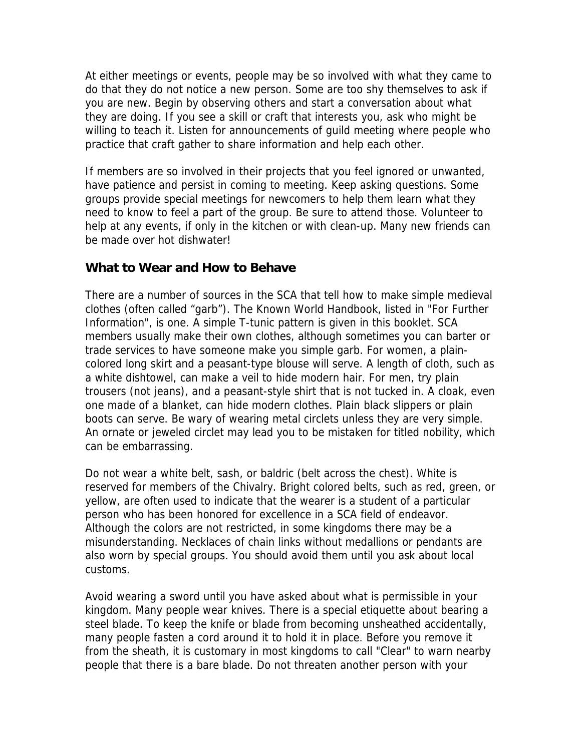<span id="page-3-0"></span>At either meetings or events, people may be so involved with what they came to do that they do not notice a new person. Some are too shy themselves to ask if you are new. Begin by observing others and start a conversation about what they are doing. If you see a skill or craft that interests you, ask who might be willing to teach it. Listen for announcements of guild meeting where people who practice that craft gather to share information and help each other.

If members are so involved in their projects that you feel ignored or unwanted, have patience and persist in coming to meeting. Keep asking questions. Some groups provide special meetings for newcomers to help them learn what they need to know to feel a part of the group. Be sure to attend those. Volunteer to help at any events, if only in the kitchen or with clean-up. Many new friends can be made over hot dishwater!

#### **What to Wear and How to Behave**

There are a number of sources in the SCA that tell how to make simple medieval clothes (often called "garb"). The Known World Handbook, listed in "For Further Information", is one. A simple T-tunic pattern is given in this booklet. SCA members usually make their own clothes, although sometimes you can barter or trade services to have someone make you simple garb. For women, a plaincolored long skirt and a peasant-type blouse will serve. A length of cloth, such as a white dishtowel, can make a veil to hide modern hair. For men, try plain trousers (not jeans), and a peasant-style shirt that is not tucked in. A cloak, even one made of a blanket, can hide modern clothes. Plain black slippers or plain boots can serve. Be wary of wearing metal circlets unless they are very simple. An ornate or jeweled circlet may lead you to be mistaken for titled nobility, which can be embarrassing.

Do not wear a white belt, sash, or baldric (belt across the chest). White is reserved for members of the Chivalry. Bright colored belts, such as red, green, or yellow, are often used to indicate that the wearer is a student of a particular person who has been honored for excellence in a SCA field of endeavor. Although the colors are not restricted, in some kingdoms there may be a misunderstanding. Necklaces of chain links without medallions or pendants are also worn by special groups. You should avoid them until you ask about local customs.

Avoid wearing a sword until you have asked about what is permissible in your kingdom. Many people wear knives. There is a special etiquette about bearing a steel blade. To keep the knife or blade from becoming unsheathed accidentally, many people fasten a cord around it to hold it in place. Before you remove it from the sheath, it is customary in most kingdoms to call "Clear" to warn nearby people that there is a bare blade. Do not threaten another person with your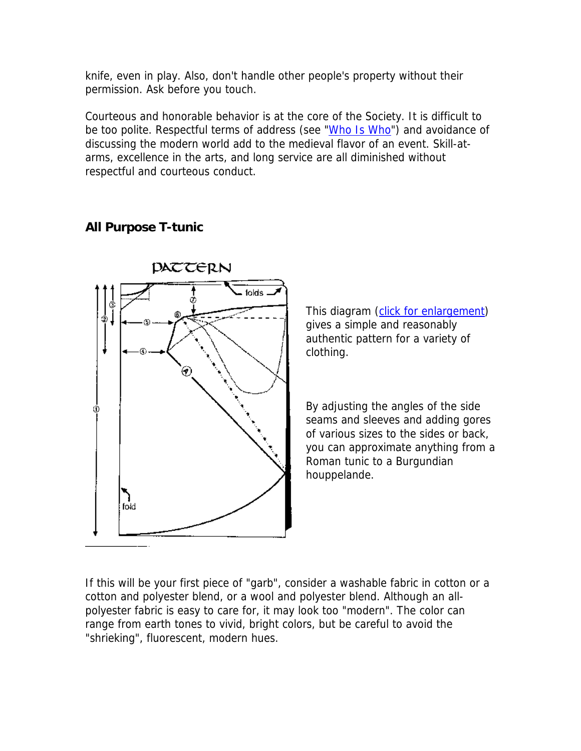<span id="page-4-0"></span>knife, even in play. Also, don't handle other people's property without their permission. Ask before you touch.

Courteous and honorable behavior is at the core of the Society. It is difficult to be too polite. Respectful terms of address (see "[Who Is Who](#page-8-0)") and avoidance of discussing the modern world add to the medieval flavor of an event. Skill-atarms, excellence in the arts, and long service are all diminished without respectful and courteous conduct.

#### **All Purpose T-tunic**



This diagram ([click for enlargement\)](http://www.sca.org/officers/chatelain/pdf/FIPpattern.gif) gives a simple and reasonably authentic pattern for a variety of clothing.

By adjusting the angles of the side seams and sleeves and adding gores of various sizes to the sides or back, you can approximate anything from a Roman tunic to a Burgundian houppelande.

If this will be your first piece of "garb", consider a washable fabric in cotton or a cotton and polyester blend, or a wool and polyester blend. Although an allpolyester fabric is easy to care for, it may look too "modern". The color can range from earth tones to vivid, bright colors, but be careful to avoid the "shrieking", fluorescent, modern hues.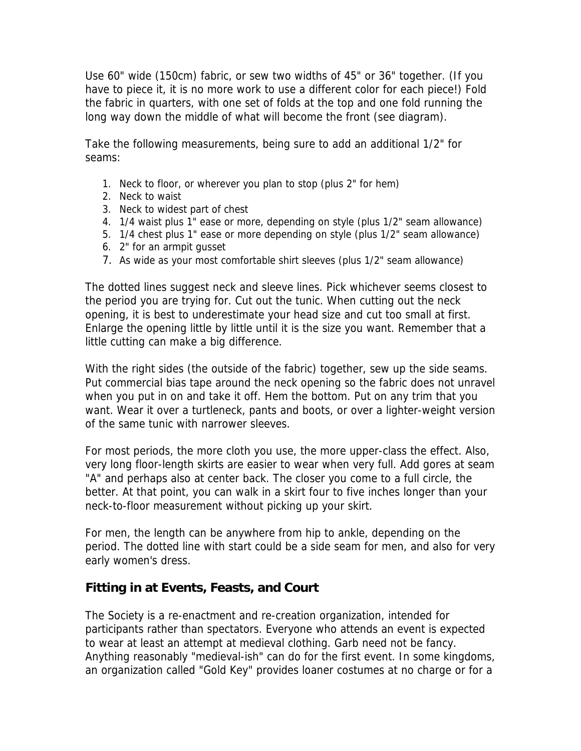<span id="page-5-0"></span>Use 60" wide (150cm) fabric, or sew two widths of 45" or 36" together. (If you have to piece it, it is no more work to use a different color for each piece!) Fold the fabric in quarters, with one set of folds at the top and one fold running the long way down the middle of what will become the front (see diagram).

Take the following measurements, being sure to add an additional 1/2" for seams:

- 1. Neck to floor, or wherever you plan to stop (plus 2" for hem)
- 2. Neck to waist
- 3. Neck to widest part of chest
- 4. 1/4 waist plus 1" ease or more, depending on style (plus 1/2" seam allowance)
- 5. 1/4 chest plus 1" ease or more depending on style (plus 1/2" seam allowance)
- 6. 2" for an armpit gusset
- 7. As wide as your most comfortable shirt sleeves (plus 1/2" seam allowance)

The dotted lines suggest neck and sleeve lines. Pick whichever seems closest to the period you are trying for. Cut out the tunic. When cutting out the neck opening, it is best to underestimate your head size and cut too small at first. Enlarge the opening little by little until it is the size you want. Remember that a little cutting can make a big difference.

With the right sides (the outside of the fabric) together, sew up the side seams. Put commercial bias tape around the neck opening so the fabric does not unravel when you put in on and take it off. Hem the bottom. Put on any trim that you want. Wear it over a turtleneck, pants and boots, or over a lighter-weight version of the same tunic with narrower sleeves.

For most periods, the more cloth you use, the more upper-class the effect. Also, very long floor-length skirts are easier to wear when very full. Add gores at seam "A" and perhaps also at center back. The closer you come to a full circle, the better. At that point, you can walk in a skirt four to five inches longer than your neck-to-floor measurement without picking up your skirt.

For men, the length can be anywhere from hip to ankle, depending on the period. The dotted line with start could be a side seam for men, and also for very early women's dress.

### **Fitting in at Events, Feasts, and Court**

The Society is a re-enactment and re-creation organization, intended for participants rather than spectators. Everyone who attends an event is expected to wear at least an attempt at medieval clothing. Garb need not be fancy. Anything reasonably "medieval-ish" can do for the first event. In some kingdoms, an organization called "Gold Key" provides loaner costumes at no charge or for a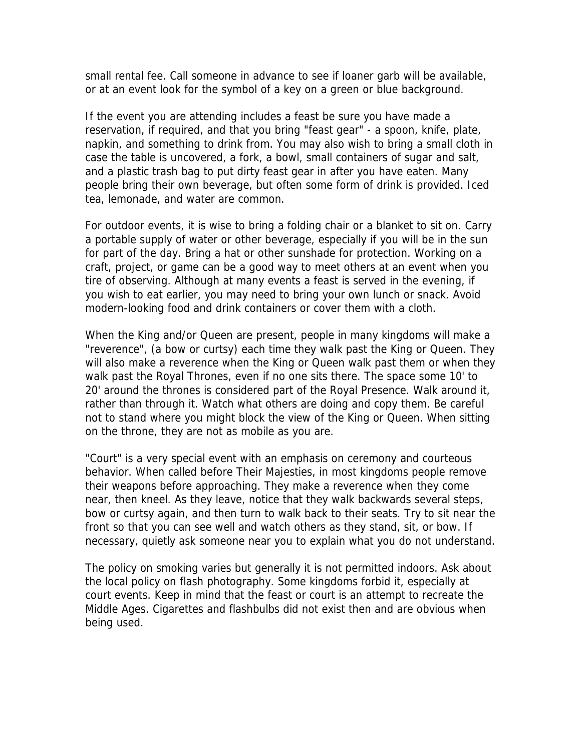small rental fee. Call someone in advance to see if loaner garb will be available, or at an event look for the symbol of a key on a green or blue background.

If the event you are attending includes a feast be sure you have made a reservation, if required, and that you bring "feast gear" - a spoon, knife, plate, napkin, and something to drink from. You may also wish to bring a small cloth in case the table is uncovered, a fork, a bowl, small containers of sugar and salt, and a plastic trash bag to put dirty feast gear in after you have eaten. Many people bring their own beverage, but often some form of drink is provided. Iced tea, lemonade, and water are common.

For outdoor events, it is wise to bring a folding chair or a blanket to sit on. Carry a portable supply of water or other beverage, especially if you will be in the sun for part of the day. Bring a hat or other sunshade for protection. Working on a craft, project, or game can be a good way to meet others at an event when you tire of observing. Although at many events a feast is served in the evening, if you wish to eat earlier, you may need to bring your own lunch or snack. Avoid modern-looking food and drink containers or cover them with a cloth.

When the King and/or Queen are present, people in many kingdoms will make a "reverence", (a bow or curtsy) each time they walk past the King or Queen. They will also make a reverence when the King or Queen walk past them or when they walk past the Royal Thrones, even if no one sits there. The space some 10' to 20' around the thrones is considered part of the Royal Presence. Walk around it, rather than through it. Watch what others are doing and copy them. Be careful not to stand where you might block the view of the King or Queen. When sitting on the throne, they are not as mobile as you are.

"Court" is a very special event with an emphasis on ceremony and courteous behavior. When called before Their Majesties, in most kingdoms people remove their weapons before approaching. They make a reverence when they come near, then kneel. As they leave, notice that they walk backwards several steps, bow or curtsy again, and then turn to walk back to their seats. Try to sit near the front so that you can see well and watch others as they stand, sit, or bow. If necessary, quietly ask someone near you to explain what you do not understand.

The policy on smoking varies but generally it is not permitted indoors. Ask about the local policy on flash photography. Some kingdoms forbid it, especially at court events. Keep in mind that the feast or court is an attempt to recreate the Middle Ages. Cigarettes and flashbulbs did not exist then and are obvious when being used.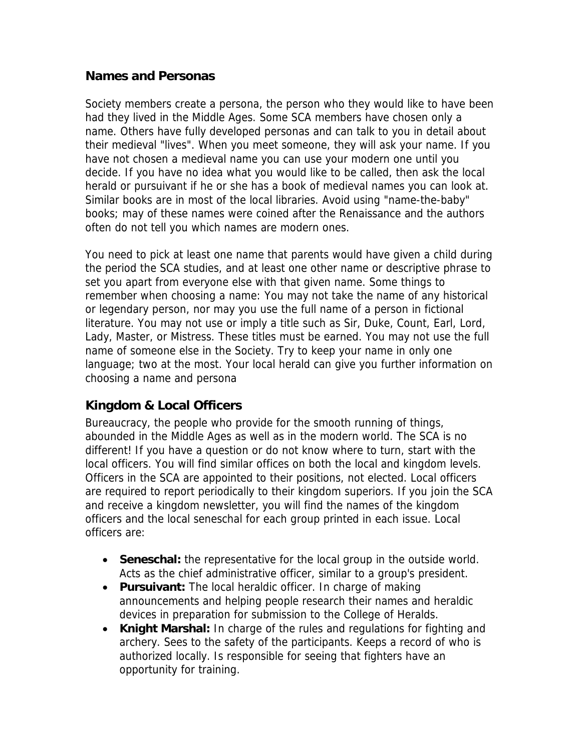#### <span id="page-7-0"></span>**Names and Personas**

Society members create a persona, the person who they would like to have been had they lived in the Middle Ages. Some SCA members have chosen only a name. Others have fully developed personas and can talk to you in detail about their medieval "lives". When you meet someone, they will ask your name. If you have not chosen a medieval name you can use your modern one until you decide. If you have no idea what you would like to be called, then ask the local herald or pursuivant if he or she has a book of medieval names you can look at. Similar books are in most of the local libraries. Avoid using "name-the-baby" books; may of these names were coined after the Renaissance and the authors often do not tell you which names are modern ones.

You need to pick at least one name that parents would have given a child during the period the SCA studies, and at least one other name or descriptive phrase to set you apart from everyone else with that given name. Some things to remember when choosing a name: You may not take the name of any historical or legendary person, nor may you use the full name of a person in fictional literature. You may not use or imply a title such as Sir, Duke, Count, Earl, Lord, Lady, Master, or Mistress. These titles must be earned. You may not use the full name of someone else in the Society. Try to keep your name in only one language; two at the most. Your local herald can give you further information on choosing a name and persona

### **Kingdom & Local Officers**

Bureaucracy, the people who provide for the smooth running of things, abounded in the Middle Ages as well as in the modern world. The SCA is no different! If you have a question or do not know where to turn, start with the local officers. You will find similar offices on both the local and kingdom levels. Officers in the SCA are appointed to their positions, not elected. Local officers are required to report periodically to their kingdom superiors. If you join the SCA and receive a kingdom newsletter, you will find the names of the kingdom officers and the local seneschal for each group printed in each issue. Local officers are:

- **Seneschal:** the representative for the local group in the outside world. Acts as the chief administrative officer, similar to a group's president.
- **Pursuivant:** The local heraldic officer. In charge of making announcements and helping people research their names and heraldic devices in preparation for submission to the College of Heralds.
- **Knight Marshal:** In charge of the rules and regulations for fighting and archery. Sees to the safety of the participants. Keeps a record of who is authorized locally. Is responsible for seeing that fighters have an opportunity for training.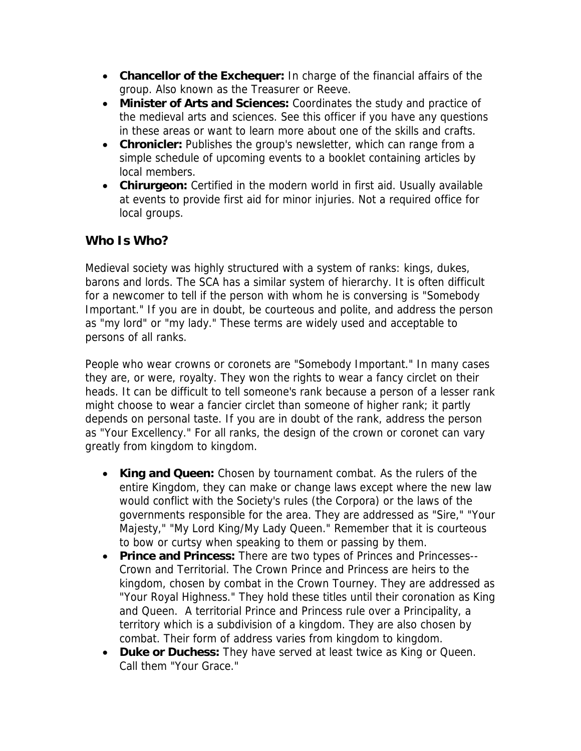- <span id="page-8-0"></span>• **Chancellor of the Exchequer:** In charge of the financial affairs of the group. Also known as the Treasurer or Reeve.
- **Minister of Arts and Sciences:** Coordinates the study and practice of the medieval arts and sciences. See this officer if you have any questions in these areas or want to learn more about one of the skills and crafts.
- **Chronicler:** Publishes the group's newsletter, which can range from a simple schedule of upcoming events to a booklet containing articles by local members.
- **Chirurgeon:** Certified in the modern world in first aid. Usually available at events to provide first aid for minor injuries. Not a required office for local groups.

## **Who Is Who?**

Medieval society was highly structured with a system of ranks: kings, dukes, barons and lords. The SCA has a similar system of hierarchy. It is often difficult for a newcomer to tell if the person with whom he is conversing is "Somebody Important." If you are in doubt, be courteous and polite, and address the person as "my lord" or "my lady." These terms are widely used and acceptable to persons of all ranks.

People who wear crowns or coronets are "Somebody Important." In many cases they are, or were, royalty. They won the rights to wear a fancy circlet on their heads. It can be difficult to tell someone's rank because a person of a lesser rank might choose to wear a fancier circlet than someone of higher rank; it partly depends on personal taste. If you are in doubt of the rank, address the person as "Your Excellency." For all ranks, the design of the crown or coronet can vary greatly from kingdom to kingdom.

- **King and Queen:** Chosen by tournament combat. As the rulers of the entire Kingdom, they can make or change laws except where the new law would conflict with the Society's rules (the Corpora) or the laws of the governments responsible for the area. They are addressed as "Sire," "Your Majesty," "My Lord King/My Lady Queen." Remember that it is courteous to bow or curtsy when speaking to them or passing by them.
- **Prince and Princess:** There are two types of Princes and Princesses-- Crown and Territorial. The Crown Prince and Princess are heirs to the kingdom, chosen by combat in the Crown Tourney. They are addressed as "Your Royal Highness." They hold these titles until their coronation as King and Queen. A territorial Prince and Princess rule over a Principality, a territory which is a subdivision of a kingdom. They are also chosen by combat. Their form of address varies from kingdom to kingdom.
- **Duke or Duchess:** They have served at least twice as King or Queen. Call them "Your Grace."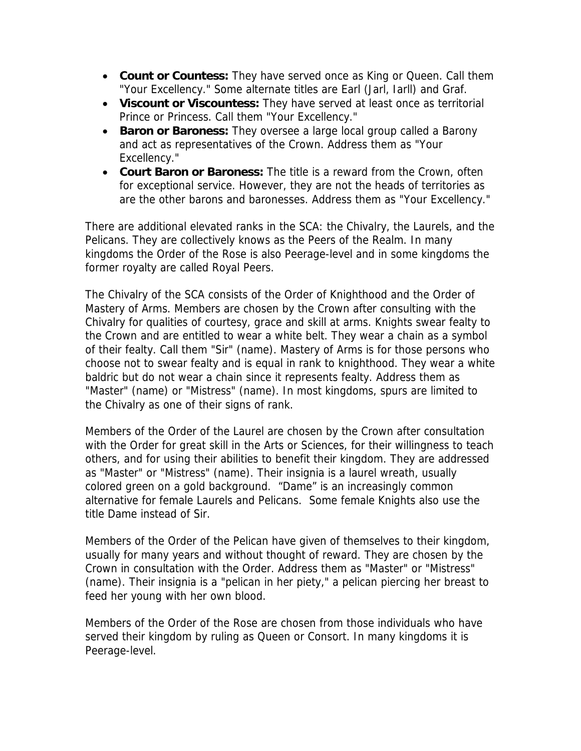- **Count or Countess:** They have served once as King or Queen. Call them "Your Excellency." Some alternate titles are Earl (Jarl, Iarll) and Graf.
- **Viscount or Viscountess:** They have served at least once as territorial Prince or Princess. Call them "Your Excellency."
- **Baron or Baroness:** They oversee a large local group called a Barony and act as representatives of the Crown. Address them as "Your Excellency."
- **Court Baron or Baroness:** The title is a reward from the Crown, often for exceptional service. However, they are not the heads of territories as are the other barons and baronesses. Address them as "Your Excellency."

There are additional elevated ranks in the SCA: the Chivalry, the Laurels, and the Pelicans. They are collectively knows as the Peers of the Realm. In many kingdoms the Order of the Rose is also Peerage-level and in some kingdoms the former royalty are called Royal Peers.

The Chivalry of the SCA consists of the Order of Knighthood and the Order of Mastery of Arms. Members are chosen by the Crown after consulting with the Chivalry for qualities of courtesy, grace and skill at arms. Knights swear fealty to the Crown and are entitled to wear a white belt. They wear a chain as a symbol of their fealty. Call them "Sir" (name). Mastery of Arms is for those persons who choose not to swear fealty and is equal in rank to knighthood. They wear a white baldric but do not wear a chain since it represents fealty. Address them as "Master" (name) or "Mistress" (name). In most kingdoms, spurs are limited to the Chivalry as one of their signs of rank.

Members of the Order of the Laurel are chosen by the Crown after consultation with the Order for great skill in the Arts or Sciences, for their willingness to teach others, and for using their abilities to benefit their kingdom. They are addressed as "Master" or "Mistress" (name). Their insignia is a laurel wreath, usually colored green on a gold background. "Dame" is an increasingly common alternative for female Laurels and Pelicans. Some female Knights also use the title Dame instead of Sir.

Members of the Order of the Pelican have given of themselves to their kingdom, usually for many years and without thought of reward. They are chosen by the Crown in consultation with the Order. Address them as "Master" or "Mistress" (name). Their insignia is a "pelican in her piety," a pelican piercing her breast to feed her young with her own blood.

Members of the Order of the Rose are chosen from those individuals who have served their kingdom by ruling as Queen or Consort. In many kingdoms it is Peerage-level.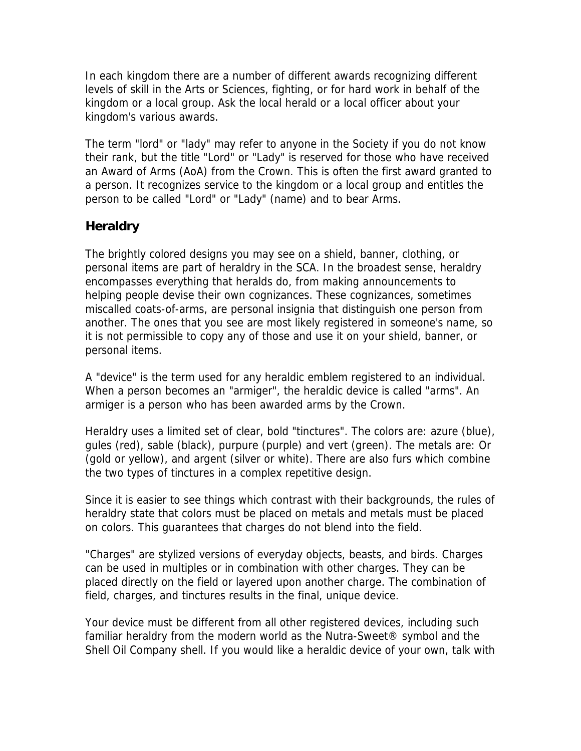<span id="page-10-0"></span>In each kingdom there are a number of different awards recognizing different levels of skill in the Arts or Sciences, fighting, or for hard work in behalf of the kingdom or a local group. Ask the local herald or a local officer about your kingdom's various awards.

The term "lord" or "lady" may refer to anyone in the Society if you do not know their rank, but the title "Lord" or "Lady" is reserved for those who have received an Award of Arms (AoA) from the Crown. This is often the first award granted to a person. It recognizes service to the kingdom or a local group and entitles the person to be called "Lord" or "Lady" (name) and to bear Arms.

## **Heraldry**

The brightly colored designs you may see on a shield, banner, clothing, or personal items are part of heraldry in the SCA. In the broadest sense, heraldry encompasses everything that heralds do, from making announcements to helping people devise their own cognizances. These cognizances, sometimes miscalled coats-of-arms, are personal insignia that distinguish one person from another. The ones that you see are most likely registered in someone's name, so it is not permissible to copy any of those and use it on your shield, banner, or personal items.

A "device" is the term used for any heraldic emblem registered to an individual. When a person becomes an "armiger", the heraldic device is called "arms". An armiger is a person who has been awarded arms by the Crown.

Heraldry uses a limited set of clear, bold "tinctures". The colors are: azure (blue), gules (red), sable (black), purpure (purple) and vert (green). The metals are: Or (gold or yellow), and argent (silver or white). There are also furs which combine the two types of tinctures in a complex repetitive design.

Since it is easier to see things which contrast with their backgrounds, the rules of heraldry state that colors must be placed on metals and metals must be placed on colors. This guarantees that charges do not blend into the field.

"Charges" are stylized versions of everyday objects, beasts, and birds. Charges can be used in multiples or in combination with other charges. They can be placed directly on the field or layered upon another charge. The combination of field, charges, and tinctures results in the final, unique device.

Your device must be different from all other registered devices, including such familiar heraldry from the modern world as the Nutra-Sweet® symbol and the Shell Oil Company shell. If you would like a heraldic device of your own, talk with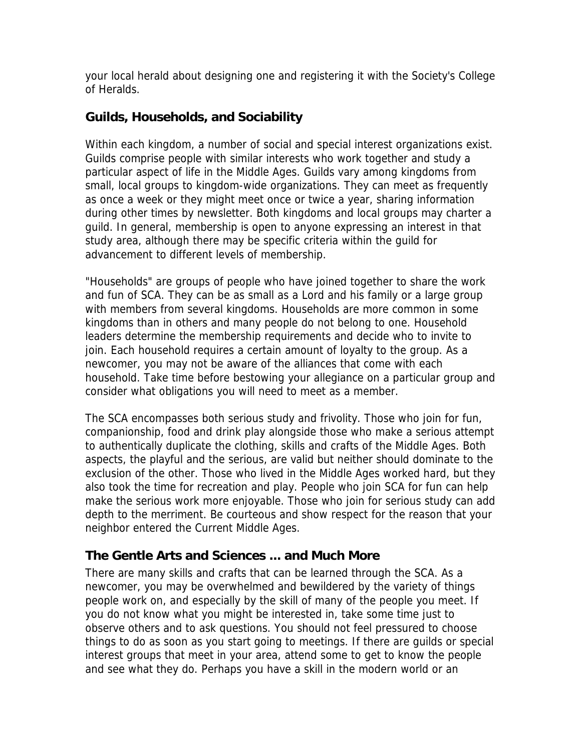<span id="page-11-0"></span>your local herald about designing one and registering it with the Society's College of Heralds.

### **Guilds, Households, and Sociability**

Within each kingdom, a number of social and special interest organizations exist. Guilds comprise people with similar interests who work together and study a particular aspect of life in the Middle Ages. Guilds vary among kingdoms from small, local groups to kingdom-wide organizations. They can meet as frequently as once a week or they might meet once or twice a year, sharing information during other times by newsletter. Both kingdoms and local groups may charter a guild. In general, membership is open to anyone expressing an interest in that study area, although there may be specific criteria within the guild for advancement to different levels of membership.

"Households" are groups of people who have joined together to share the work and fun of SCA. They can be as small as a Lord and his family or a large group with members from several kingdoms. Households are more common in some kingdoms than in others and many people do not belong to one. Household leaders determine the membership requirements and decide who to invite to join. Each household requires a certain amount of loyalty to the group. As a newcomer, you may not be aware of the alliances that come with each household. Take time before bestowing your allegiance on a particular group and consider what obligations you will need to meet as a member.

The SCA encompasses both serious study and frivolity. Those who join for fun, companionship, food and drink play alongside those who make a serious attempt to authentically duplicate the clothing, skills and crafts of the Middle Ages. Both aspects, the playful and the serious, are valid but neither should dominate to the exclusion of the other. Those who lived in the Middle Ages worked hard, but they also took the time for recreation and play. People who join SCA for fun can help make the serious work more enjoyable. Those who join for serious study can add depth to the merriment. Be courteous and show respect for the reason that your neighbor entered the Current Middle Ages.

### **The Gentle Arts and Sciences ... and Much More**

There are many skills and crafts that can be learned through the SCA. As a newcomer, you may be overwhelmed and bewildered by the variety of things people work on, and especially by the skill of many of the people you meet. If you do not know what you might be interested in, take some time just to observe others and to ask questions. You should not feel pressured to choose things to do as soon as you start going to meetings. If there are guilds or special interest groups that meet in your area, attend some to get to know the people and see what they do. Perhaps you have a skill in the modern world or an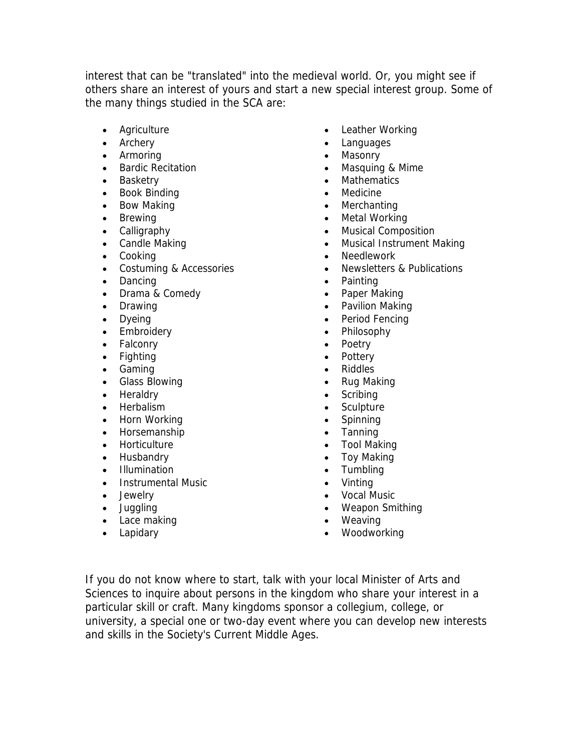interest that can be "translated" into the medieval world. Or, you might see if others share an interest of yours and start a new special interest group. Some of the many things studied in the SCA are:

- Agriculture
- Archery
- Armoring
- Bardic Recitation
- Basketry
- Book Binding
- Bow Making
- Brewing
- Calligraphy
- Candle Making
- Cooking
- Costuming & Accessories
- Dancing
- Drama & Comedy
- Drawing
- Dyeing
- Embroidery
- Falconry
- Fighting
- Gaming
- Glass Blowing
- Heraldry
- Herbalism
- Horn Working
- Horsemanship
- Horticulture
- Husbandry
- Illumination
- Instrumental Music
- Jewelry
- Juggling
- Lace making
- Lapidary
- Leather Working
- Languages
- Masonry
- Masquing & Mime
- Mathematics
- Medicine
- Merchanting
- Metal Working
- Musical Composition
- Musical Instrument Making
- Needlework
- Newsletters & Publications
- Painting
- Paper Making
- Pavilion Making
- Period Fencing
- Philosophy
- Poetry
- Pottery
- Riddles
- Rug Making
- **Scribing**
- Sculpture
- **Spinning**
- Tanning
- Tool Making
- Toy Making
- Tumbling
- Vinting
- Vocal Music
- Weapon Smithing
- Weaving
- Woodworking

If you do not know where to start, talk with your local Minister of Arts and Sciences to inquire about persons in the kingdom who share your interest in a particular skill or craft. Many kingdoms sponsor a collegium, college, or university, a special one or two-day event where you can develop new interests and skills in the Society's Current Middle Ages.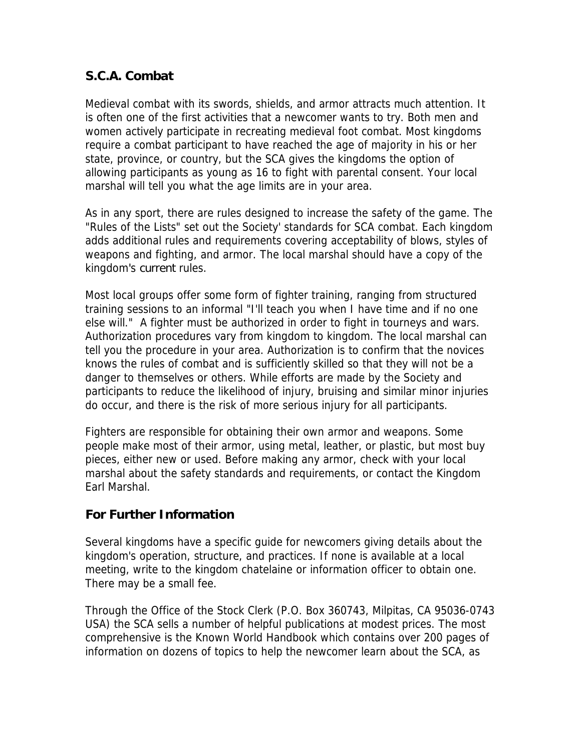# <span id="page-13-0"></span>**S.C.A. Combat**

Medieval combat with its swords, shields, and armor attracts much attention. It is often one of the first activities that a newcomer wants to try. Both men and women actively participate in recreating medieval foot combat. Most kingdoms require a combat participant to have reached the age of majority in his or her state, province, or country, but the SCA gives the kingdoms the option of allowing participants as young as 16 to fight with parental consent. Your local marshal will tell you what the age limits are in your area.

As in any sport, there are rules designed to increase the safety of the game. The "Rules of the Lists" set out the Society' standards for SCA combat. Each kingdom adds additional rules and requirements covering acceptability of blows, styles of weapons and fighting, and armor. The local marshal should have a copy of the kingdom's current rules.

Most local groups offer some form of fighter training, ranging from structured training sessions to an informal "I'll teach you when I have time and if no one else will." A fighter must be authorized in order to fight in tourneys and wars. Authorization procedures vary from kingdom to kingdom. The local marshal can tell you the procedure in your area. Authorization is to confirm that the novices knows the rules of combat and is sufficiently skilled so that they will not be a danger to themselves or others. While efforts are made by the Society and participants to reduce the likelihood of injury, bruising and similar minor injuries do occur, and there is the risk of more serious injury for all participants.

Fighters are responsible for obtaining their own armor and weapons. Some people make most of their armor, using metal, leather, or plastic, but most buy pieces, either new or used. Before making any armor, check with your local marshal about the safety standards and requirements, or contact the Kingdom Earl Marshal.

### **For Further Information**

Several kingdoms have a specific guide for newcomers giving details about the kingdom's operation, structure, and practices. If none is available at a local meeting, write to the kingdom chatelaine or information officer to obtain one. There may be a small fee.

Through the Office of the Stock Clerk (P.O. Box 360743, Milpitas, CA 95036-0743 USA) the SCA sells a number of helpful publications at modest prices. The most comprehensive is the Known World Handbook which contains over 200 pages of information on dozens of topics to help the newcomer learn about the SCA, as